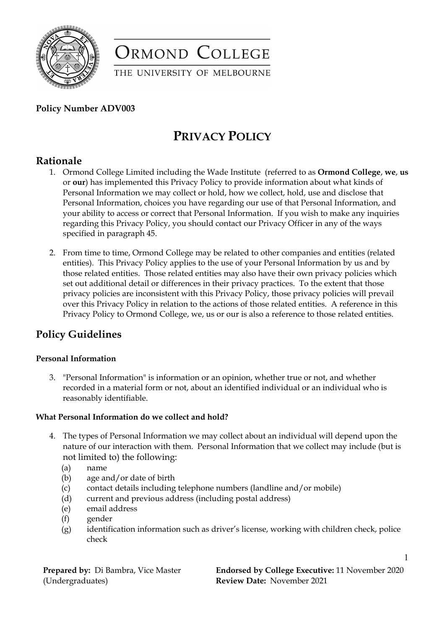

ORMOND COLLEGE

THE UNIVERSITY OF MELBOURNE

### **Policy Number ADV003**

# **PRIVACY POLICY**

## **Rationale**

- 1. Ormond College Limited including the Wade Institute (referred to as **Ormond College**, **we**, **us** or **our**) has implemented this Privacy Policy to provide information about what kinds of Personal Information we may collect or hold, how we collect, hold, use and disclose that Personal Information, choices you have regarding our use of that Personal Information, and your ability to access or correct that Personal Information. If you wish to make any inquiries regarding this Privacy Policy, you should contact our Privacy Officer in any of the ways specified in paragraph 45.
- 2. From time to time, Ormond College may be related to other companies and entities (related entities). This Privacy Policy applies to the use of your Personal Information by us and by those related entities. Those related entities may also have their own privacy policies which set out additional detail or differences in their privacy practices. To the extent that those privacy policies are inconsistent with this Privacy Policy, those privacy policies will prevail over this Privacy Policy in relation to the actions of those related entities. A reference in this Privacy Policy to Ormond College, we, us or our is also a reference to those related entities.

# **Policy Guidelines**

### **Personal Information**

3. "Personal Information" is information or an opinion, whether true or not, and whether recorded in a material form or not, about an identified individual or an individual who is reasonably identifiable.

#### **What Personal Information do we collect and hold?**

- 4. The types of Personal Information we may collect about an individual will depend upon the nature of our interaction with them. Personal Information that we collect may include (but is not limited to) the following:
	- (a) name
	- (b) age and/or date of birth
	- (c) contact details including telephone numbers (landline and/or mobile)
	- (d) current and previous address (including postal address)
	- (e) email address
	- (f) gender
	- (g) identification information such as driver's license, working with children check, police check

**Prepared by:** Di Bambra, Vice Master (Undergraduates)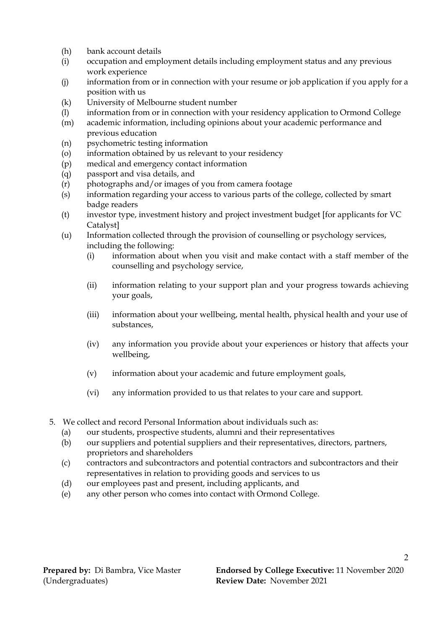- (h) bank account details
- (i) occupation and employment details including employment status and any previous work experience
- (j) information from or in connection with your resume or job application if you apply for a position with us
- (k) University of Melbourne student number
- (l) information from or in connection with your residency application to Ormond College
- (m) academic information, including opinions about your academic performance and previous education
- (n) psychometric testing information
- (o) information obtained by us relevant to your residency
- (p) medical and emergency contact information
- (q) passport and visa details, and
- (r) photographs and/or images of you from camera footage
- (s) information regarding your access to various parts of the college, collected by smart badge readers
- (t) investor type, investment history and project investment budget [for applicants for VC Catalyst]
- (u) Information collected through the provision of counselling or psychology services, including the following:
	- (i) information about when you visit and make contact with a staff member of the counselling and psychology service,
	- (ii) information relating to your support plan and your progress towards achieving your goals,
	- (iii) information about your wellbeing, mental health, physical health and your use of substances,
	- (iv) any information you provide about your experiences or history that affects your wellbeing,
	- (v) information about your academic and future employment goals,
	- (vi) any information provided to us that relates to your care and support.
- 5. We collect and record Personal Information about individuals such as:
	- (a) our students, prospective students, alumni and their representatives
	- (b) our suppliers and potential suppliers and their representatives, directors, partners, proprietors and shareholders
	- (c) contractors and subcontractors and potential contractors and subcontractors and their representatives in relation to providing goods and services to us
	- (d) our employees past and present, including applicants, and
	- (e) any other person who comes into contact with Ormond College.

 $\mathfrak{D}$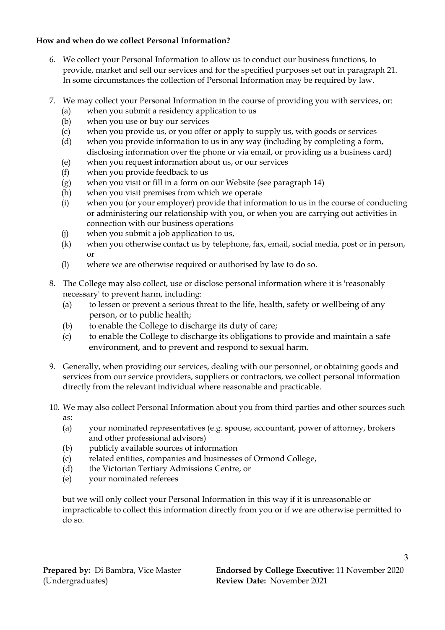### **How and when do we collect Personal Information?**

- 6. We collect your Personal Information to allow us to conduct our business functions, to provide, market and sell our services and for the specified purposes set out in paragraph 21. In some circumstances the collection of Personal Information may be required by law.
- 7. We may collect your Personal Information in the course of providing you with services, or:
	- (a) when you submit a residency application to us
	- (b) when you use or buy our services
	- (c) when you provide us, or you offer or apply to supply us, with goods or services
	- (d) when you provide information to us in any way (including by completing a form, disclosing information over the phone or via email, or providing us a business card)
	- (e) when you request information about us, or our services
	- (f) when you provide feedback to us
	- (g) when you visit or fill in a form on our Website (see paragraph 14)
	- (h) when you visit premises from which we operate
	- (i) when you (or your employer) provide that information to us in the course of conducting or administering our relationship with you, or when you are carrying out activities in connection with our business operations
	- (j) when you submit a job application to us,
	- (k) when you otherwise contact us by telephone, fax, email, social media, post or in person, or
	- (l) where we are otherwise required or authorised by law to do so.
- 8. The College may also collect, use or disclose personal information where it is 'reasonably necessary' to prevent harm, including:
	- (a) to lessen or prevent a serious threat to the life, health, safety or wellbeing of any person, or to public health;
	- (b) to enable the College to discharge its duty of care;
	- (c) to enable the College to discharge its obligations to provide and maintain a safe environment, and to prevent and respond to sexual harm.
- 9. Generally, when providing our services, dealing with our personnel, or obtaining goods and services from our service providers, suppliers or contractors, we collect personal information directly from the relevant individual where reasonable and practicable.
- 10. We may also collect Personal Information about you from third parties and other sources such as:
	- (a) your nominated representatives (e.g. spouse, accountant, power of attorney, brokers and other professional advisors)
	- (b) publicly available sources of information
	- (c) related entities, companies and businesses of Ormond College,
	- (d) the Victorian Tertiary Admissions Centre, or
	- (e) your nominated referees

but we will only collect your Personal Information in this way if it is unreasonable or impracticable to collect this information directly from you or if we are otherwise permitted to do so.

3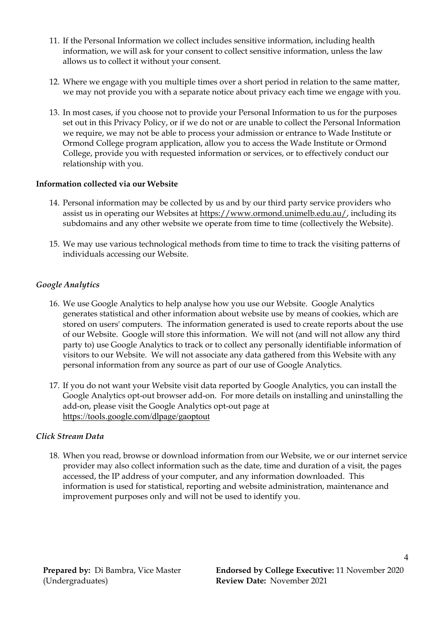- 11. If the Personal Information we collect includes sensitive information, including health information, we will ask for your consent to collect sensitive information, unless the law allows us to collect it without your consent.
- 12. Where we engage with you multiple times over a short period in relation to the same matter, we may not provide you with a separate notice about privacy each time we engage with you.
- 13. In most cases, if you choose not to provide your Personal Information to us for the purposes set out in this Privacy Policy, or if we do not or are unable to collect the Personal Information we require, we may not be able to process your admission or entrance to Wade Institute or Ormond College program application, allow you to access the Wade Institute or Ormond College, provide you with requested information or services, or to effectively conduct our relationship with you.

#### **Information collected via our Website**

- 14. Personal information may be collected by us and by our third party service providers who assist us in operating our Websites at [https://www.ormond.unimelb.edu.au/,](https://www.ormond.unimelb.edu.au/) including its subdomains and any other website we operate from time to time (collectively the Website).
- 15. We may use various technological methods from time to time to track the visiting patterns of individuals accessing our Website.

#### *Google Analytics*

- 16. We use Google Analytics to help analyse how you use our Website. Google Analytics generates statistical and other information about website use by means of cookies, which are stored on users' computers. The information generated is used to create reports about the use of our Website. Google will store this information. We will not (and will not allow any third party to) use Google Analytics to track or to collect any personally identifiable information of visitors to our Website. We will not associate any data gathered from this Website with any personal information from any source as part of our use of Google Analytics.
- 17. If you do not want your Website visit data reported by Google Analytics, you can install the Google Analytics opt-out browser add-on. For more details on installing and uninstalling the add-on, please visit the Google Analytics opt-out page at <https://tools.google.com/dlpage/gaoptout>

#### *Click Stream Data*

18. When you read, browse or download information from our Website, we or our internet service provider may also collect information such as the date, time and duration of a visit, the pages accessed, the IP address of your computer, and any information downloaded. This information is used for statistical, reporting and website administration, maintenance and improvement purposes only and will not be used to identify you.

4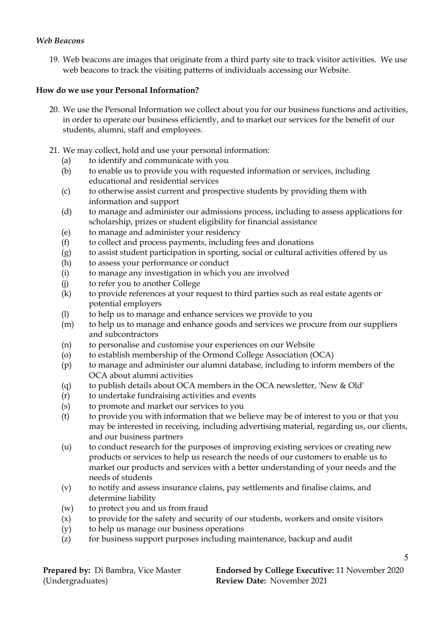#### *Web Beacons*

19. Web beacons are images that originate from a third party site to track visitor activities. We use web beacons to track the visiting patterns of individuals accessing our Website.

#### **How do we use your Personal Information?**

- 20. We use the Personal Information we collect about you for our business functions and activities, in order to operate our business efficiently, and to market our services for the benefit of our students, alumni, staff and employees.
- 21. We may collect, hold and use your personal information:
	- (a) to identify and communicate with you
	- (b) to enable us to provide you with requested information or services, including educational and residential services
	- (c) to otherwise assist current and prospective students by providing them with information and support
	- (d) to manage and administer our admissions process, including to assess applications for scholarship, prizes or student eligibility for financial assistance
	- (e) to manage and administer your residency
	- (f) to collect and process payments, including fees and donations
	- (g) to assist student participation in sporting, social or cultural activities offered by us
	- (h) to assess your performance or conduct
	- (i) to manage any investigation in which you are involved
	- (j) to refer you to another College
	- (k) to provide references at your request to third parties such as real estate agents or potential employers
	- (l) to help us to manage and enhance services we provide to you
	- (m) to help us to manage and enhance goods and services we procure from our suppliers and subcontractors
	- (n) to personalise and customise your experiences on our Website
	- (o) to establish membership of the Ormond College Association (OCA)
	- (p) to manage and administer our alumni database, including to inform members of the OCA about alumni activities
	- (q) to publish details about OCA members in the OCA newsletter, 'New & Old'
	- (r) to undertake fundraising activities and events
	- (s) to promote and market our services to you
	- (t) to provide you with information that we believe may be of interest to you or that you may be interested in receiving, including advertising material, regarding us, our clients, and our business partners
	- (u) to conduct research for the purposes of improving existing services or creating new products or services to help us research the needs of our customers to enable us to market our products and services with a better understanding of your needs and the needs of students
	- (v) to notify and assess insurance claims, pay settlements and finalise claims, and determine liability
	- (w) to protect you and us from fraud
	- (x) to provide for the safety and security of our students, workers and onsite visitors
	- (y) to help us manage our business operations
	- (z) for business support purposes including maintenance, backup and audit

| <b>Prepared by:</b> Di Bambra, Vice Master |  |
|--------------------------------------------|--|
| (Undergraduates)                           |  |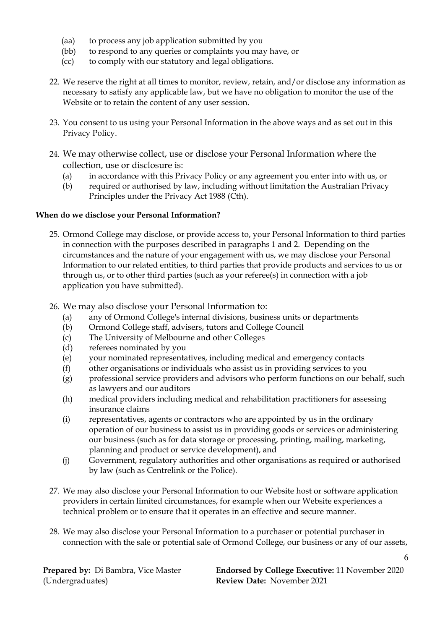- (aa) to process any job application submitted by you
- (bb) to respond to any queries or complaints you may have, or
- (cc) to comply with our statutory and legal obligations.
- 22. We reserve the right at all times to monitor, review, retain, and/or disclose any information as necessary to satisfy any applicable law, but we have no obligation to monitor the use of the Website or to retain the content of any user session.
- 23. You consent to us using your Personal Information in the above ways and as set out in this Privacy Policy.
- 24. We may otherwise collect, use or disclose your Personal Information where the collection, use or disclosure is:
	- (a) in accordance with this Privacy Policy or any agreement you enter into with us, or
	- (b) required or authorised by law, including without limitation the Australian Privacy Principles under the Privacy Act 1988 (Cth).

#### **When do we disclose your Personal Information?**

- 25. Ormond College may disclose, or provide access to, your Personal Information to third parties in connection with the purposes described in paragraphs 1 and 2. Depending on the circumstances and the nature of your engagement with us, we may disclose your Personal Information to our related entities, to third parties that provide products and services to us or through us, or to other third parties (such as your referee(s) in connection with a job application you have submitted).
- 26. We may also disclose your Personal Information to:
	- (a) any of Ormond College's internal divisions, business units or departments
	- (b) Ormond College staff, advisers, tutors and College Council
	- (c) The University of Melbourne and other Colleges
	- (d) referees nominated by you
	- (e) your nominated representatives, including medical and emergency contacts
	- (f) other organisations or individuals who assist us in providing services to you
	- (g) professional service providers and advisors who perform functions on our behalf, such as lawyers and our auditors
	- (h) medical providers including medical and rehabilitation practitioners for assessing insurance claims
	- (i) representatives, agents or contractors who are appointed by us in the ordinary operation of our business to assist us in providing goods or services or administering our business (such as for data storage or processing, printing, mailing, marketing, planning and product or service development), and
	- (j) Government, regulatory authorities and other organisations as required or authorised by law (such as Centrelink or the Police).
- 27. We may also disclose your Personal Information to our Website host or software application providers in certain limited circumstances, for example when our Website experiences a technical problem or to ensure that it operates in an effective and secure manner.
- 28. We may also disclose your Personal Information to a purchaser or potential purchaser in connection with the sale or potential sale of Ormond College, our business or any of our assets,

**Prepared by:** Di Bambra, Vice Master (Undergraduates)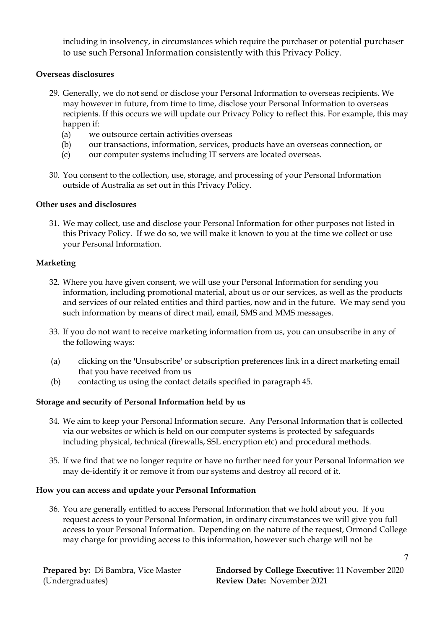including in insolvency, in circumstances which require the purchaser or potential purchaser to use such Personal Information consistently with this Privacy Policy.

#### **Overseas disclosures**

- 29. Generally, we do not send or disclose your Personal Information to overseas recipients. We may however in future, from time to time, disclose your Personal Information to overseas recipients. If this occurs we will update our Privacy Policy to reflect this. For example, this may happen if:
	- (a) we outsource certain activities overseas
	- (b) our transactions, information, services, products have an overseas connection, or
	- (c) our computer systems including IT servers are located overseas.
- 30. You consent to the collection, use, storage, and processing of your Personal Information outside of Australia as set out in this Privacy Policy.

#### **Other uses and disclosures**

31. We may collect, use and disclose your Personal Information for other purposes not listed in this Privacy Policy. If we do so, we will make it known to you at the time we collect or use your Personal Information.

#### **Marketing**

- 32. Where you have given consent, we will use your Personal Information for sending you information, including promotional material, about us or our services, as well as the products and services of our related entities and third parties, now and in the future. We may send you such information by means of direct mail, email, SMS and MMS messages.
- 33. If you do not want to receive marketing information from us, you can unsubscribe in any of the following ways:
- (a) clicking on the 'Unsubscribe' or subscription preferences link in a direct marketing email that you have received from us
- (b) contacting us using the contact details specified in paragraph 45.

#### **Storage and security of Personal Information held by us**

- 34. We aim to keep your Personal Information secure. Any Personal Information that is collected via our websites or which is held on our computer systems is protected by safeguards including physical, technical (firewalls, SSL encryption etc) and procedural methods.
- 35. If we find that we no longer require or have no further need for your Personal Information we may de-identify it or remove it from our systems and destroy all record of it.

#### **How you can access and update your Personal Information**

36. You are generally entitled to access Personal Information that we hold about you. If you request access to your Personal Information, in ordinary circumstances we will give you full access to your Personal Information. Depending on the nature of the request, Ormond College may charge for providing access to this information, however such charge will not be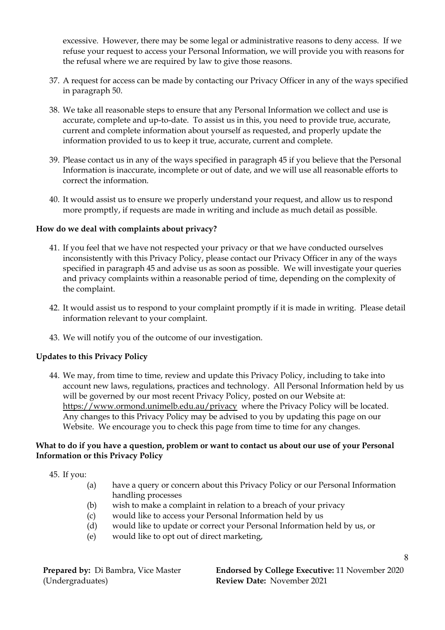excessive. However, there may be some legal or administrative reasons to deny access. If we refuse your request to access your Personal Information, we will provide you with reasons for the refusal where we are required by law to give those reasons.

- 37. A request for access can be made by contacting our Privacy Officer in any of the ways specified in paragraph 50.
- 38. We take all reasonable steps to ensure that any Personal Information we collect and use is accurate, complete and up-to-date. To assist us in this, you need to provide true, accurate, current and complete information about yourself as requested, and properly update the information provided to us to keep it true, accurate, current and complete.
- 39. Please contact us in any of the ways specified in paragraph 45 if you believe that the Personal Information is inaccurate, incomplete or out of date, and we will use all reasonable efforts to correct the information.
- 40. It would assist us to ensure we properly understand your request, and allow us to respond more promptly, if requests are made in writing and include as much detail as possible.

#### **How do we deal with complaints about privacy?**

- 41. If you feel that we have not respected your privacy or that we have conducted ourselves inconsistently with this Privacy Policy, please contact our Privacy Officer in any of the ways specified in paragraph 45 and advise us as soon as possible. We will investigate your queries and privacy complaints within a reasonable period of time, depending on the complexity of the complaint.
- 42. It would assist us to respond to your complaint promptly if it is made in writing. Please detail information relevant to your complaint.
- 43. We will notify you of the outcome of our investigation.

#### **Updates to this Privacy Policy**

44. We may, from time to time, review and update this Privacy Policy, including to take into account new laws, regulations, practices and technology. All Personal Information held by us will be governed by our most recent Privacy Policy, posted on our Website at: <https://www.ormond.unimelb.edu.au/privacy> where the Privacy Policy will be located. Any changes to this Privacy Policy may be advised to you by updating this page on our Website. We encourage you to check this page from time to time for any changes.

#### **What to do if you have a question, problem or want to contact us about our use of your Personal Information or this Privacy Policy**

45. If you:

- (a) have a query or concern about this Privacy Policy or our Personal Information handling processes
- (b) wish to make a complaint in relation to a breach of your privacy
- (c) would like to access your Personal Information held by us
- (d) would like to update or correct your Personal Information held by us, or
- (e) would like to opt out of direct marketing,

**Prepared by:** Di Bambra, Vice Master (Undergraduates)